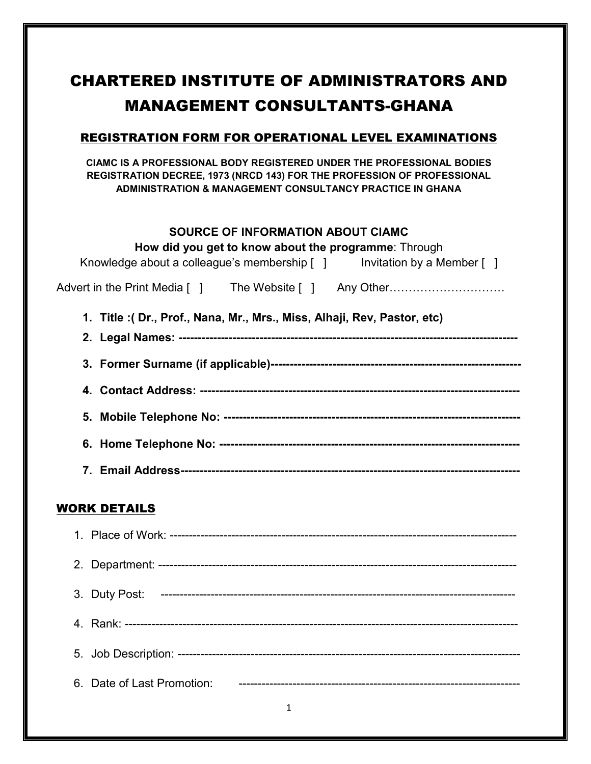# CHARTERED INSTITUTE OF ADMINISTRATORS AND MANAGEMENT CONSULTANTS-GHANA

### REGISTRATION FORM FOR OPERATIONAL LEVEL EXAMINATIONS

**CIAMC IS A PROFESSIONAL BODY REGISTERED UNDER THE PROFESSIONAL BODIES REGISTRATION DECREE, 1973 (NRCD 143) FOR THE PROFESSION OF PROFESSIONAL ADMINISTRATION & MANAGEMENT CONSULTANCY PRACTICE IN GHANA** 

#### **SOURCE OF INFORMATION ABOUT CIAMC**

#### WORK DETAILS

| 3. Duty Post:              |  |
|----------------------------|--|
|                            |  |
|                            |  |
| 6. Date of Last Promotion: |  |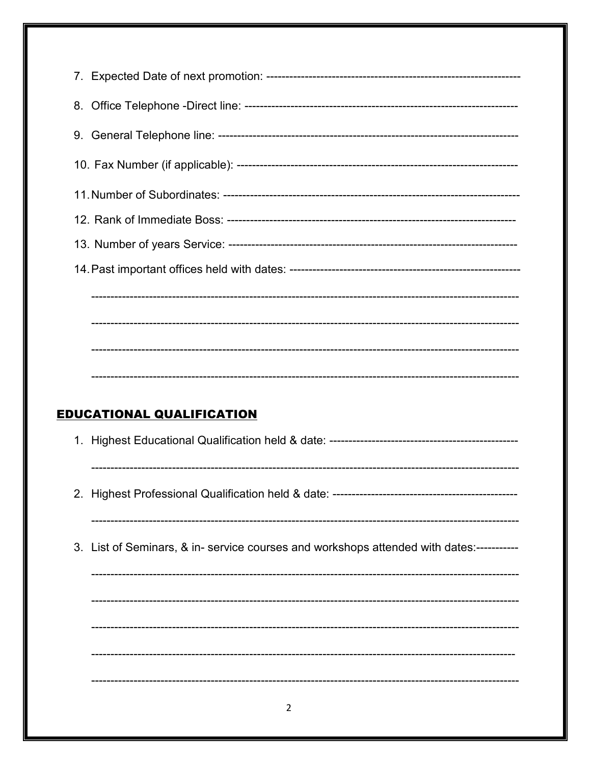| <b>EDUCATIONAL QUALIFICATION</b>                                                         |
|------------------------------------------------------------------------------------------|
|                                                                                          |
|                                                                                          |
| 2. Highest Professional Qualification held & date: ------------                          |
|                                                                                          |
| 3. List of Seminars, & in- service courses and workshops attended with dates:----------- |
|                                                                                          |
|                                                                                          |
|                                                                                          |
|                                                                                          |
|                                                                                          |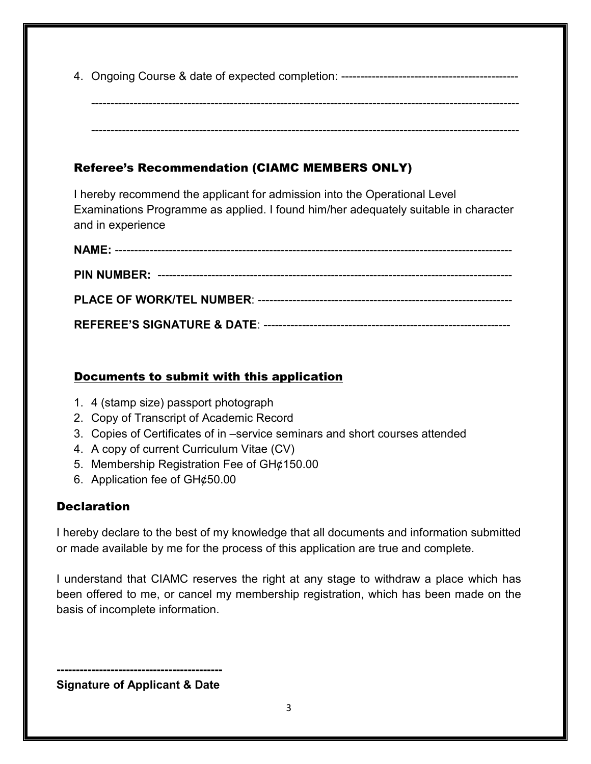4. Ongoing Course & date of expected completion: ----------------------------------------------

--------------------------------------------------------------------------------------------------------------- ---------------------------------------------------------------------------------------------------------------

## Referee's Recommendation (CIAMC MEMBERS ONLY)

I hereby recommend the applicant for admission into the Operational Level Examinations Programme as applied. I found him/her adequately suitable in character and in experience

## Documents to submit with this application

- 1. 4 (stamp size) passport photograph
- 2. Copy of Transcript of Academic Record
- 3. Copies of Certificates of in –service seminars and short courses attended
- 4. A copy of current Curriculum Vitae (CV)
- 5. Membership Registration Fee of GH¢150.00
- 6. Application fee of GH¢50.00

## **Declaration**

I hereby declare to the best of my knowledge that all documents and information submitted or made available by me for the process of this application are true and complete.

I understand that CIAMC reserves the right at any stage to withdraw a place which has been offered to me, or cancel my membership registration, which has been made on the basis of incomplete information.

**------------------------------------------- Signature of Applicant & Date**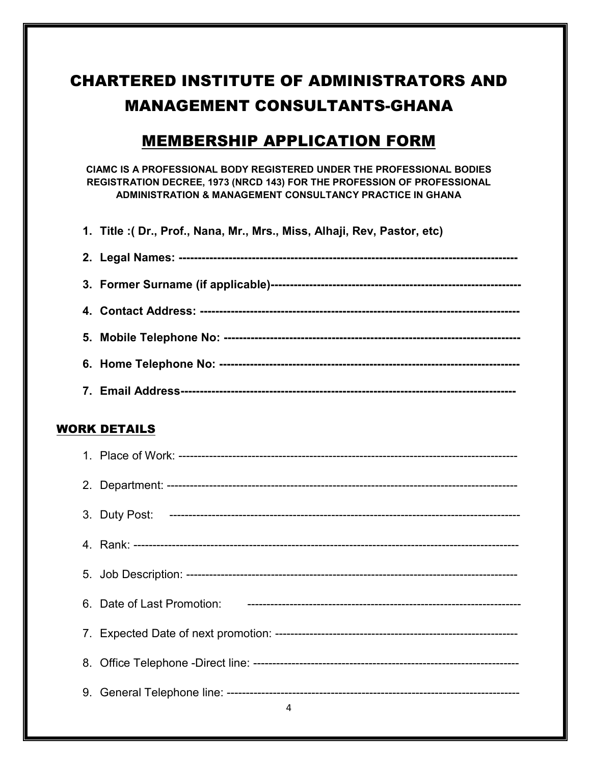# CHARTERED INSTITUTE OF ADMINISTRATORS AND MANAGEMENT CONSULTANTS-GHANA

# MEMBERSHIP APPLICATION FORM

**CIAMC IS A PROFESSIONAL BODY REGISTERED UNDER THE PROFESSIONAL BODIES REGISTRATION DECREE, 1973 (NRCD 143) FOR THE PROFESSION OF PROFESSIONAL ADMINISTRATION & MANAGEMENT CONSULTANCY PRACTICE IN GHANA** 

**1. Title :( Dr., Prof., Nana, Mr., Mrs., Miss, Alhaji, Rev, Pastor, etc)** 

#### WORK DETAILS

| $\sim$ 4 |
|----------|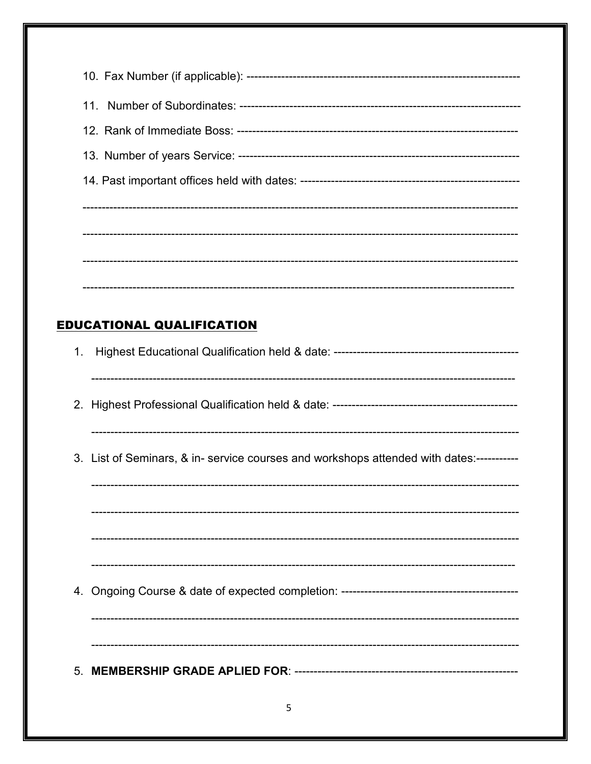| <b>EDUCATIONAL QUALIFICATION</b>                                                        |
|-----------------------------------------------------------------------------------------|
| 1.                                                                                      |
|                                                                                         |
| 3. List of Seminars, & in- service courses and workshops attended with dates:---------- |
|                                                                                         |
|                                                                                         |
|                                                                                         |
|                                                                                         |
|                                                                                         |
| 5                                                                                       |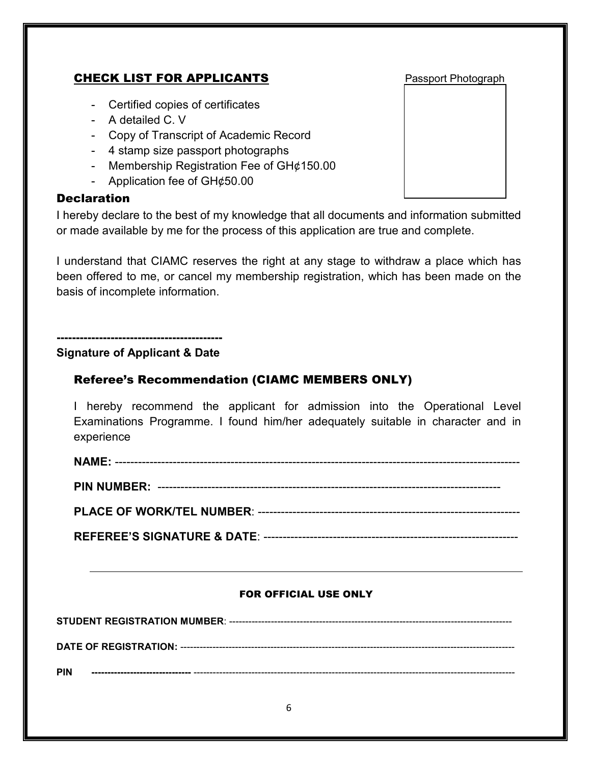## **CHECK LIST FOR APPLICANTS** Passport Photograph

- Certified copies of certificates
- A detailed C. V
- Copy of Transcript of Academic Record
- 4 stamp size passport photographs
- Membership Registration Fee of GH¢150.00
- Application fee of GH¢50.00

#### **Declaration**

I hereby declare to the best of my knowledge that all documents and information submitted or made available by me for the process of this application are true and complete.

I understand that CIAMC reserves the right at any stage to withdraw a place which has been offered to me, or cancel my membership registration, which has been made on the basis of incomplete information.

**-------------------------------------------** 

#### **Signature of Applicant & Date**

### Referee's Recommendation (CIAMC MEMBERS ONLY)

I hereby recommend the applicant for admission into the Operational Level Examinations Programme. I found him/her adequately suitable in character and in experience

**NAME:** ---------------------------------------------------------------------------------------------------------

**PIN NUMBER:** -----------------------------------------------------------------------------------------

**PLACE OF WORK/TEL NUMBER**: --------------------------------------------------------------------

**REFEREE'S SIGNATURE & DATE**: ------------------------------------------------------------------

#### FOR OFFICIAL USE ONLY

**STUDENT REGISTRATION MUMBER**: ----------------------------------------------------------------------------------------

**DATE OF REGISTRATION:** --------------------------------------------------------------------------------------------------------

**PIN -------------------------------** ----------------------------------------------------------------------------------------------------

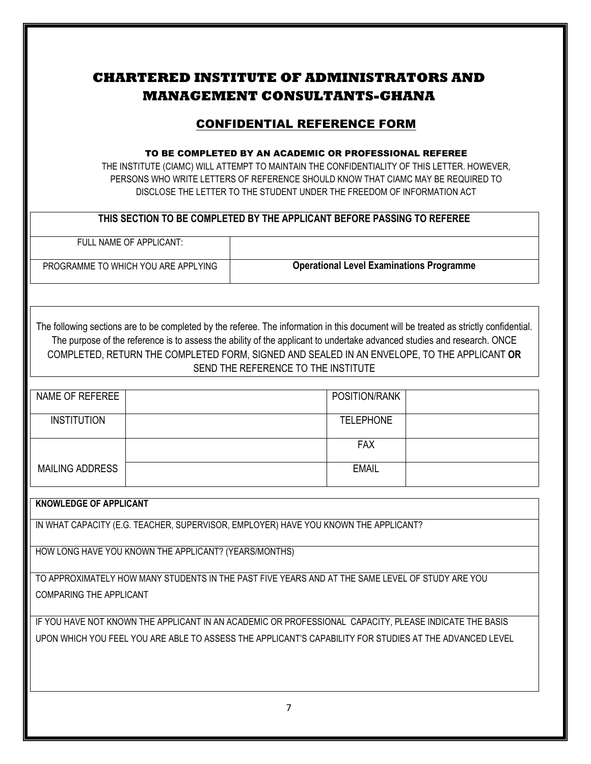## **CHARTERED INSTITUTE OF ADMINISTRATORS AND MANAGEMENT CONSULTANTS-GHANA**

## CONFIDENTIAL REFERENCE FORM

#### TO BE COMPLETED BY AN ACADEMIC OR PROFESSIONAL REFEREE

THE INSTITUTE (CIAMC) WILL ATTEMPT TO MAINTAIN THE CONFIDENTIALITY OF THIS LETTER. HOWEVER, PERSONS WHO WRITE LETTERS OF REFERENCE SHOULD KNOW THAT CIAMC MAY BE REQUIRED TO DISCLOSE THE LETTER TO THE STUDENT UNDER THE FREEDOM OF INFORMATION ACT

#### **THIS SECTION TO BE COMPLETED BY THE APPLICANT BEFORE PASSING TO REFEREE**

FULL NAME OF APPLICANT:

PROGRAMME TO WHICH YOU ARE APPLYING **Operational Level Examinations Programme**

The following sections are to be completed by the referee. The information in this document will be treated as strictly confidential. The purpose of the reference is to assess the ability of the applicant to undertake advanced studies and research. ONCE COMPLETED, RETURN THE COMPLETED FORM, SIGNED AND SEALED IN AN ENVELOPE, TO THE APPLICANT **OR** SEND THE REFERENCE TO THE INSTITUTE

| NAME OF REFEREE        | POSITION/RANK    |  |
|------------------------|------------------|--|
| <b>INSTITUTION</b>     | <b>TELEPHONE</b> |  |
|                        | <b>FAX</b>       |  |
| <b>MAILING ADDRESS</b> | <b>EMAIL</b>     |  |

#### **KNOWLEDGE OF APPLICANT**

IN WHAT CAPACITY (E.G. TEACHER, SUPERVISOR, EMPLOYER) HAVE YOU KNOWN THE APPLICANT?

HOW LONG HAVE YOU KNOWN THE APPLICANT? (YEARS/MONTHS)

TO APPROXIMATELY HOW MANY STUDENTS IN THE PAST FIVE YEARS AND AT THE SAME LEVEL OF STUDY ARE YOU COMPARING THE APPLICANT

IF YOU HAVE NOT KNOWN THE APPLICANT IN AN ACADEMIC OR PROFESSIONAL CAPACITY, PLEASE INDICATE THE BASIS UPON WHICH YOU FEEL YOU ARE ABLE TO ASSESS THE APPLICANT'S CAPABILITY FOR STUDIES AT THE ADVANCED LEVEL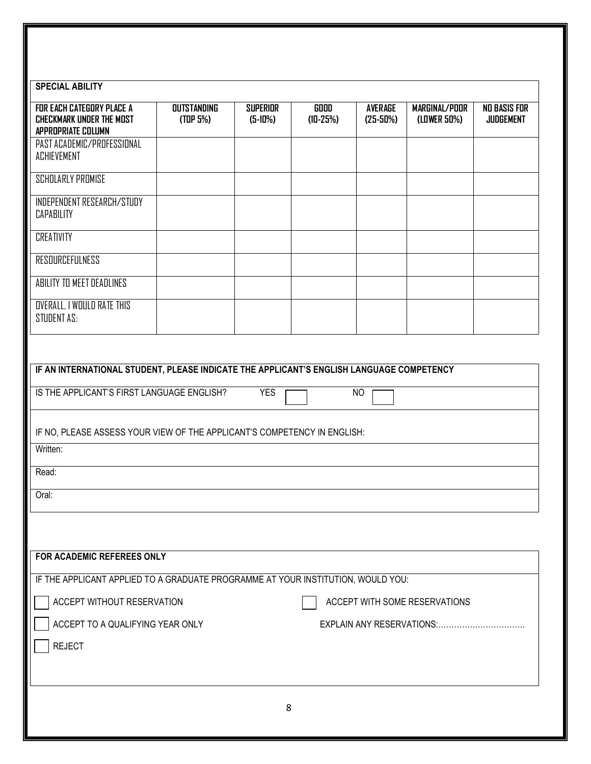| <b>SPECIAL ABILITY</b>                                                                   |                                            |                              |                           |                              |                               |                                         |
|------------------------------------------------------------------------------------------|--------------------------------------------|------------------------------|---------------------------|------------------------------|-------------------------------|-----------------------------------------|
| FOR EACH CATEGORY PLACE A<br><b>CHECKMARK UNDER THE MOST</b><br>APPROPRIATE COLUMN       | <b>OUTSTANDING</b><br>(TDP <sub>5%</sub> ) | <b>SUPERIOR</b><br>$(5-10%)$ | <b>GOOD</b><br>$(10-25%)$ | <b>AVERAGE</b><br>$(25-50%)$ | MARGINAL/POOR<br>(LOWER 50%)  | <b>NO BASIS FOR</b><br><b>JUDGEMENT</b> |
| PAST ACADEMIC/PROFESSIONAL<br><b>ACHIEVEMENT</b>                                         |                                            |                              |                           |                              |                               |                                         |
| <b>SCHOLARLY PROMISE</b>                                                                 |                                            |                              |                           |                              |                               |                                         |
| INDEPENDENT RESEARCH/STUDY<br><b>CAPABILITY</b>                                          |                                            |                              |                           |                              |                               |                                         |
| <b>CREATIVITY</b>                                                                        |                                            |                              |                           |                              |                               |                                         |
| RESOURCEFULNESS                                                                          |                                            |                              |                           |                              |                               |                                         |
| ABILITY TO MEET DEADLINES                                                                |                                            |                              |                           |                              |                               |                                         |
| <b>OVERALL, I WOULD RATE THIS</b><br>STUDENT AS:                                         |                                            |                              |                           |                              |                               |                                         |
|                                                                                          |                                            |                              |                           |                              |                               |                                         |
| IF AN INTERNATIONAL STUDENT, PLEASE INDICATE THE APPLICANT'S ENGLISH LANGUAGE COMPETENCY |                                            |                              |                           |                              |                               |                                         |
| IS THE APPLICANT'S FIRST LANGUAGE ENGLISH?                                               |                                            | <b>YES</b>                   |                           | <b>NO</b>                    |                               |                                         |
| IF NO, PLEASE ASSESS YOUR VIEW OF THE APPLICANT'S COMPETENCY IN ENGLISH:                 |                                            |                              |                           |                              |                               |                                         |
| Written:                                                                                 |                                            |                              |                           |                              |                               |                                         |
| Read:                                                                                    |                                            |                              |                           |                              |                               |                                         |
| Oral:                                                                                    |                                            |                              |                           |                              |                               |                                         |
|                                                                                          |                                            |                              |                           |                              |                               |                                         |
|                                                                                          |                                            |                              |                           |                              |                               |                                         |
| FOR ACADEMIC REFEREES ONLY                                                               |                                            |                              |                           |                              |                               |                                         |
| IF THE APPLICANT APPLIED TO A GRADUATE PROGRAMME AT YOUR INSTITUTION, WOULD YOU:         |                                            |                              |                           |                              |                               |                                         |
| ACCEPT WITHOUT RESERVATION                                                               |                                            |                              |                           |                              | ACCEPT WITH SOME RESERVATIONS |                                         |
| ACCEPT TO A QUALIFYING YEAR ONLY                                                         |                                            |                              |                           |                              |                               |                                         |
| <b>REJECT</b>                                                                            |                                            |                              |                           |                              |                               |                                         |
|                                                                                          |                                            |                              |                           |                              |                               |                                         |
|                                                                                          |                                            | 8                            |                           |                              |                               |                                         |
|                                                                                          |                                            |                              |                           |                              |                               |                                         |